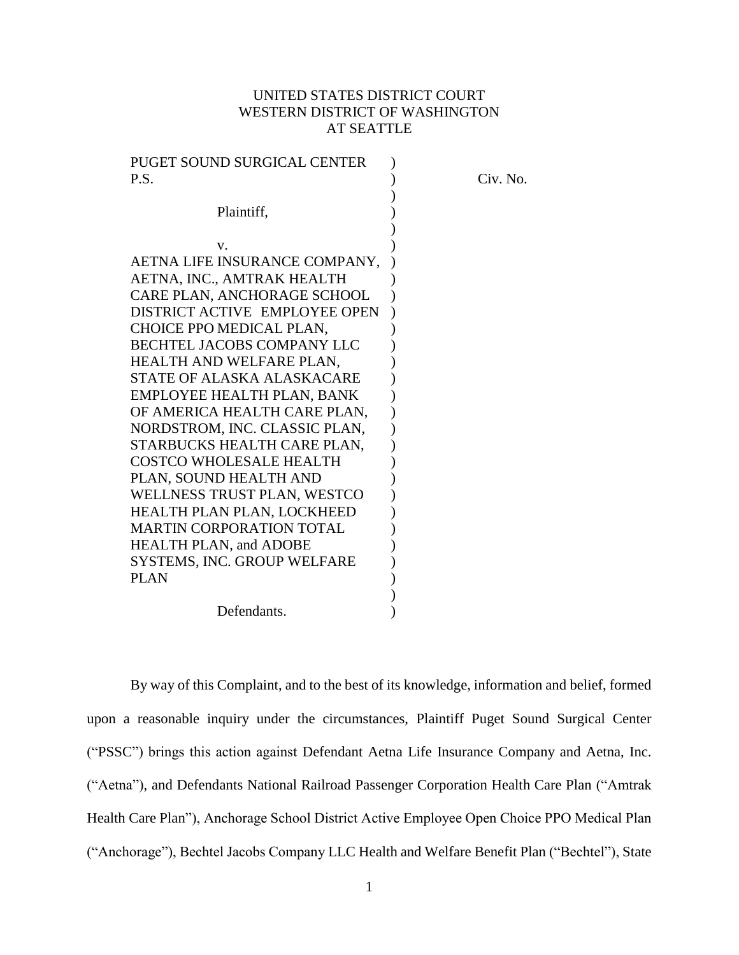# UNITED STATES DISTRICT COURT WESTERN DISTRICT OF WASHINGTON AT SEATTLE

| PUGET SOUND SURGICAL CENTER       |          |
|-----------------------------------|----------|
| P.S.                              | Civ. No. |
|                                   |          |
| Plaintiff,                        |          |
|                                   |          |
| V.                                |          |
| AETNA LIFE INSURANCE COMPANY,     |          |
| AETNA, INC., AMTRAK HEALTH        |          |
| CARE PLAN, ANCHORAGE SCHOOL       |          |
| DISTRICT ACTIVE EMPLOYEE OPEN     |          |
| CHOICE PPO MEDICAL PLAN,          |          |
| <b>BECHTEL JACOBS COMPANY LLC</b> |          |
| HEALTH AND WELFARE PLAN,          |          |
| STATE OF ALASKA ALASKACARE        |          |
| EMPLOYEE HEALTH PLAN, BANK        |          |
| OF AMERICA HEALTH CARE PLAN,      |          |
| NORDSTROM, INC. CLASSIC PLAN,     |          |
| STARBUCKS HEALTH CARE PLAN,       |          |
| <b>COSTCO WHOLESALE HEALTH</b>    |          |
| PLAN, SOUND HEALTH AND            |          |
| WELLNESS TRUST PLAN, WESTCO       |          |
| HEALTH PLAN PLAN, LOCKHEED        |          |
| <b>MARTIN CORPORATION TOTAL</b>   |          |
| <b>HEALTH PLAN, and ADOBE</b>     |          |
| SYSTEMS, INC. GROUP WELFARE       |          |
| <b>PLAN</b>                       |          |
|                                   |          |
| Defendants.                       |          |

By way of this Complaint, and to the best of its knowledge, information and belief, formed upon a reasonable inquiry under the circumstances, Plaintiff Puget Sound Surgical Center ("PSSC") brings this action against Defendant Aetna Life Insurance Company and Aetna, Inc. ("Aetna"), and Defendants National Railroad Passenger Corporation Health Care Plan ("Amtrak Health Care Plan"), Anchorage School District Active Employee Open Choice PPO Medical Plan ("Anchorage"), Bechtel Jacobs Company LLC Health and Welfare Benefit Plan ("Bechtel"), State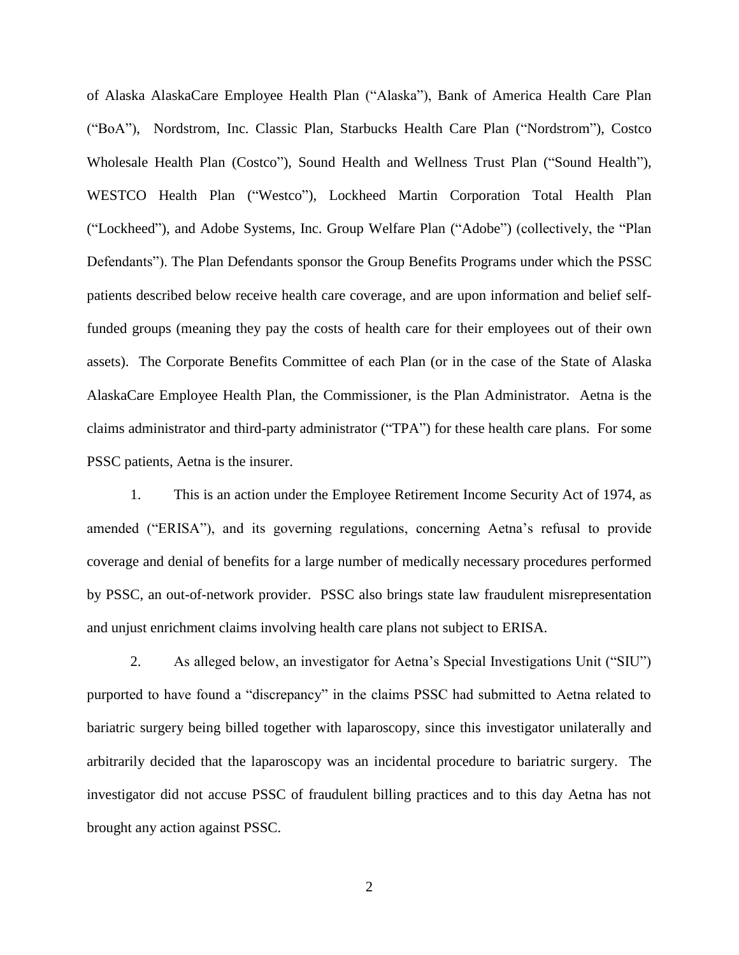of Alaska AlaskaCare Employee Health Plan ("Alaska"), Bank of America Health Care Plan ("BoA"), Nordstrom, Inc. Classic Plan, Starbucks Health Care Plan ("Nordstrom"), Costco Wholesale Health Plan (Costco"), Sound Health and Wellness Trust Plan ("Sound Health"), WESTCO Health Plan ("Westco"), Lockheed Martin Corporation Total Health Plan ("Lockheed"), and Adobe Systems, Inc. Group Welfare Plan ("Adobe") (collectively, the "Plan Defendants"). The Plan Defendants sponsor the Group Benefits Programs under which the PSSC patients described below receive health care coverage, and are upon information and belief selffunded groups (meaning they pay the costs of health care for their employees out of their own assets). The Corporate Benefits Committee of each Plan (or in the case of the State of Alaska AlaskaCare Employee Health Plan, the Commissioner, is the Plan Administrator. Aetna is the claims administrator and third-party administrator ("TPA") for these health care plans. For some PSSC patients, Aetna is the insurer.

1. This is an action under the Employee Retirement Income Security Act of 1974, as amended ("ERISA"), and its governing regulations, concerning Aetna's refusal to provide coverage and denial of benefits for a large number of medically necessary procedures performed by PSSC, an out-of-network provider. PSSC also brings state law fraudulent misrepresentation and unjust enrichment claims involving health care plans not subject to ERISA.

2. As alleged below, an investigator for Aetna's Special Investigations Unit ("SIU") purported to have found a "discrepancy" in the claims PSSC had submitted to Aetna related to bariatric surgery being billed together with laparoscopy, since this investigator unilaterally and arbitrarily decided that the laparoscopy was an incidental procedure to bariatric surgery. The investigator did not accuse PSSC of fraudulent billing practices and to this day Aetna has not brought any action against PSSC.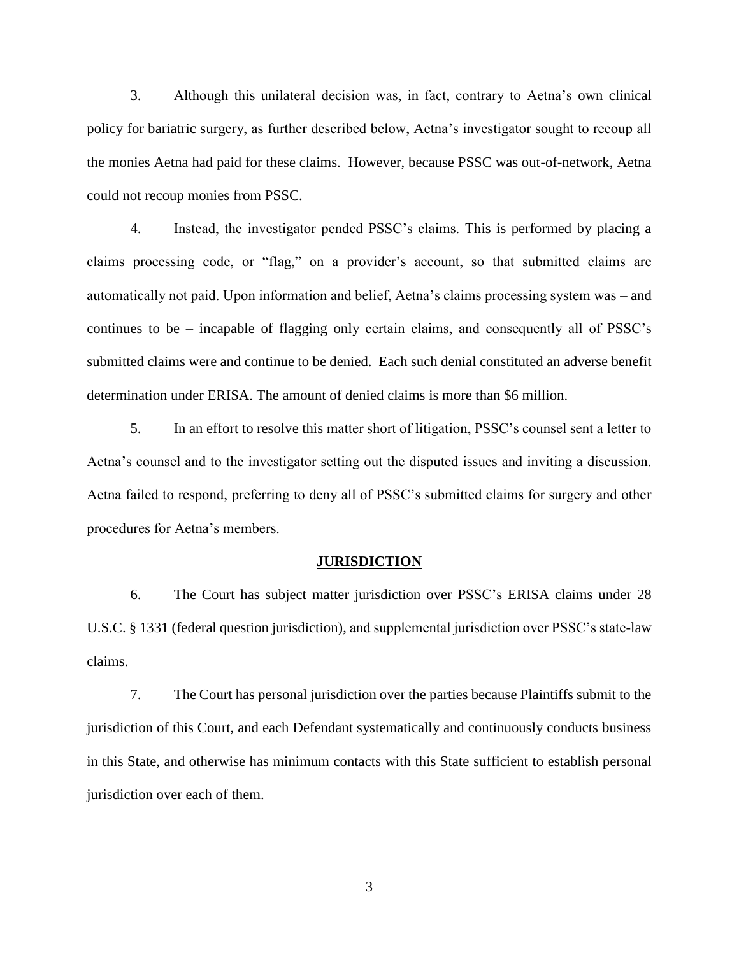3. Although this unilateral decision was, in fact, contrary to Aetna's own clinical policy for bariatric surgery, as further described below, Aetna's investigator sought to recoup all the monies Aetna had paid for these claims. However, because PSSC was out-of-network, Aetna could not recoup monies from PSSC.

4. Instead, the investigator pended PSSC's claims. This is performed by placing a claims processing code, or "flag," on a provider's account, so that submitted claims are automatically not paid. Upon information and belief, Aetna's claims processing system was – and continues to be – incapable of flagging only certain claims, and consequently all of PSSC's submitted claims were and continue to be denied. Each such denial constituted an adverse benefit determination under ERISA. The amount of denied claims is more than \$6 million.

5. In an effort to resolve this matter short of litigation, PSSC's counsel sent a letter to Aetna's counsel and to the investigator setting out the disputed issues and inviting a discussion. Aetna failed to respond, preferring to deny all of PSSC's submitted claims for surgery and other procedures for Aetna's members.

### **JURISDICTION**

6. The Court has subject matter jurisdiction over PSSC's ERISA claims under 28 U.S.C. § 1331 (federal question jurisdiction), and supplemental jurisdiction over PSSC's state-law claims.

7. The Court has personal jurisdiction over the parties because Plaintiffs submit to the jurisdiction of this Court, and each Defendant systematically and continuously conducts business in this State, and otherwise has minimum contacts with this State sufficient to establish personal jurisdiction over each of them.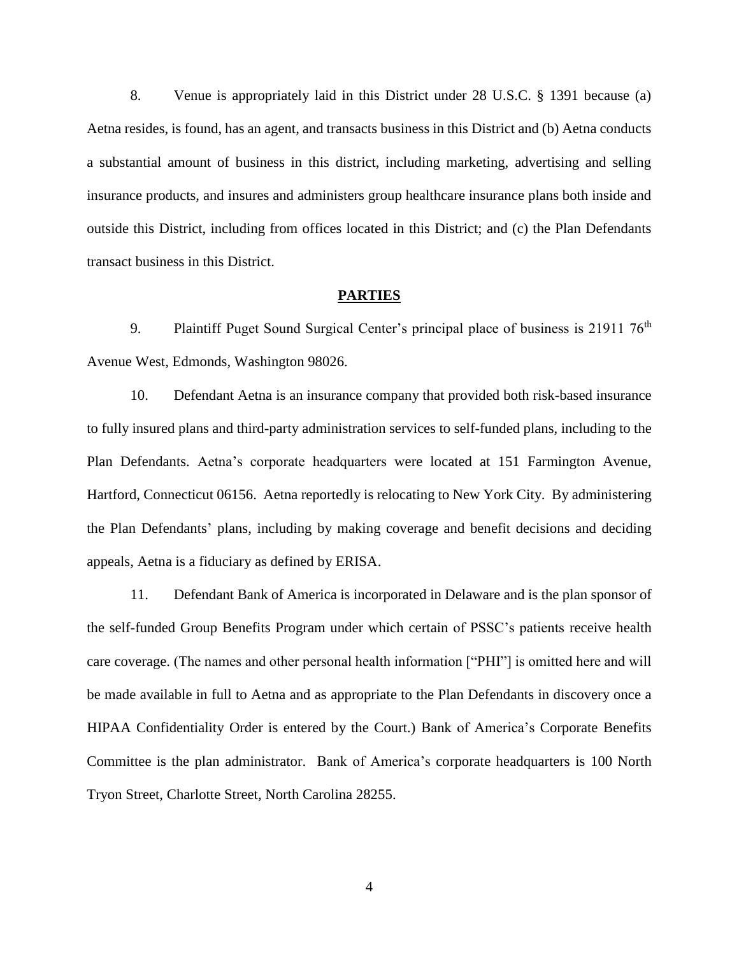8. Venue is appropriately laid in this District under 28 U.S.C. § 1391 because (a) Aetna resides, is found, has an agent, and transacts business in this District and (b) Aetna conducts a substantial amount of business in this district, including marketing, advertising and selling insurance products, and insures and administers group healthcare insurance plans both inside and outside this District, including from offices located in this District; and (c) the Plan Defendants transact business in this District.

### **PARTIES**

9. Plaintiff Puget Sound Surgical Center's principal place of business is 21911 76<sup>th</sup> Avenue West, Edmonds, Washington 98026.

10. Defendant Aetna is an insurance company that provided both risk-based insurance to fully insured plans and third-party administration services to self-funded plans, including to the Plan Defendants. Aetna's corporate headquarters were located at 151 Farmington Avenue, Hartford, Connecticut 06156. Aetna reportedly is relocating to New York City. By administering the Plan Defendants' plans, including by making coverage and benefit decisions and deciding appeals, Aetna is a fiduciary as defined by ERISA.

11. Defendant Bank of America is incorporated in Delaware and is the plan sponsor of the self-funded Group Benefits Program under which certain of PSSC's patients receive health care coverage. (The names and other personal health information ["PHI"] is omitted here and will be made available in full to Aetna and as appropriate to the Plan Defendants in discovery once a HIPAA Confidentiality Order is entered by the Court.) Bank of America's Corporate Benefits Committee is the plan administrator. Bank of America's corporate headquarters is 100 North Tryon Street, Charlotte Street, North Carolina 28255.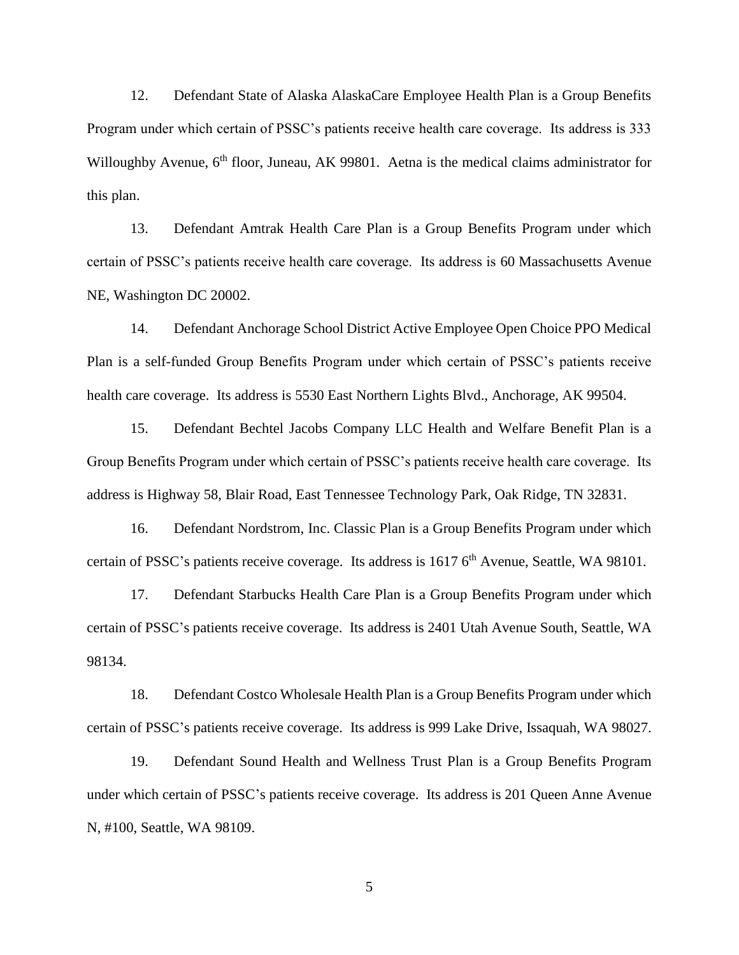12. Defendant State of Alaska AlaskaCare Employee Health Plan is a Group Benefits Program under which certain of PSSC's patients receive health care coverage. Its address is 333 Willoughby Avenue, 6<sup>th</sup> floor, Juneau, AK 99801. Aetna is the medical claims administrator for this plan.

13. Defendant Amtrak Health Care Plan is a Group Benefits Program under which certain of PSSC's patients receive health care coverage. Its address is 60 Massachusetts Avenue NE, Washington DC 20002.

14. Defendant Anchorage School District Active Employee Open Choice PPO Medical Plan is a self-funded Group Benefits Program under which certain of PSSC's patients receive health care coverage. Its address is 5530 East Northern Lights Blvd., Anchorage, AK 99504.

15. Defendant Bechtel Jacobs Company LLC Health and Welfare Benefit Plan is a Group Benefits Program under which certain of PSSC's patients receive health care coverage. Its address is Highway 58, Blair Road, East Tennessee Technology Park, Oak Ridge, TN 32831.

16. Defendant Nordstrom, Inc. Classic Plan is a Group Benefits Program under which certain of PSSC's patients receive coverage. Its address is 1617 6<sup>th</sup> Avenue, Seattle, WA 98101.

17. Defendant Starbucks Health Care Plan is a Group Benefits Program under which certain of PSSC's patients receive coverage. Its address is 2401 Utah Avenue South, Seattle, WA 98134.

18. Defendant Costco Wholesale Health Plan is a Group Benefits Program under which certain of PSSC's patients receive coverage. Its address is 999 Lake Drive, Issaquah, WA 98027.

19. Defendant Sound Health and Wellness Trust Plan is a Group Benefits Program under which certain of PSSC's patients receive coverage. Its address is 201 Queen Anne Avenue N, #100, Seattle, WA 98109.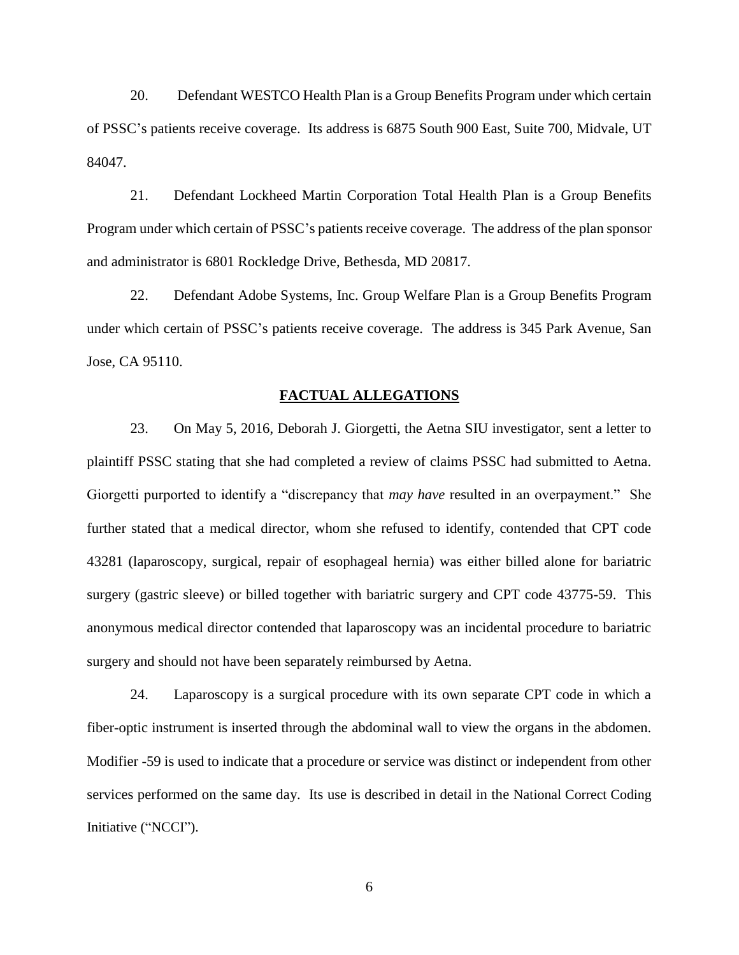20. Defendant WESTCO Health Plan is a Group Benefits Program under which certain of PSSC's patients receive coverage. Its address is 6875 South 900 East, Suite 700, Midvale, UT 84047.

21. Defendant Lockheed Martin Corporation Total Health Plan is a Group Benefits Program under which certain of PSSC's patients receive coverage. The address of the plan sponsor and administrator is 6801 Rockledge Drive, Bethesda, MD 20817.

22. Defendant Adobe Systems, Inc. Group Welfare Plan is a Group Benefits Program under which certain of PSSC's patients receive coverage. The address is 345 Park Avenue, San Jose, CA 95110.

### **FACTUAL ALLEGATIONS**

23. On May 5, 2016, Deborah J. Giorgetti, the Aetna SIU investigator, sent a letter to plaintiff PSSC stating that she had completed a review of claims PSSC had submitted to Aetna. Giorgetti purported to identify a "discrepancy that *may have* resulted in an overpayment." She further stated that a medical director, whom she refused to identify, contended that CPT code 43281 (laparoscopy, surgical, repair of esophageal hernia) was either billed alone for bariatric surgery (gastric sleeve) or billed together with bariatric surgery and CPT code 43775-59. This anonymous medical director contended that laparoscopy was an incidental procedure to bariatric surgery and should not have been separately reimbursed by Aetna.

24. Laparoscopy is a surgical procedure with its own separate CPT code in which a fiber-optic instrument is inserted through the abdominal wall to view the organs in the abdomen. Modifier -59 is used to indicate that a procedure or service was distinct or independent from other services performed on the same day. Its use is described in detail in the National Correct Coding Initiative ("NCCI").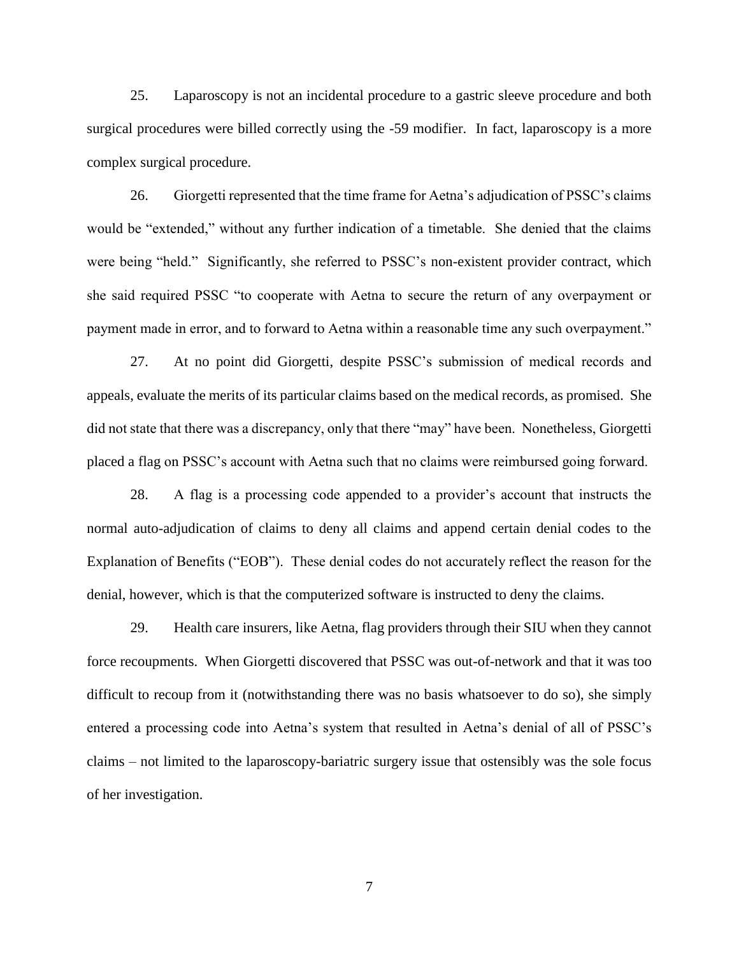25. Laparoscopy is not an incidental procedure to a gastric sleeve procedure and both surgical procedures were billed correctly using the -59 modifier. In fact, laparoscopy is a more complex surgical procedure.

26. Giorgetti represented that the time frame for Aetna's adjudication of PSSC's claims would be "extended," without any further indication of a timetable. She denied that the claims were being "held." Significantly, she referred to PSSC's non-existent provider contract, which she said required PSSC "to cooperate with Aetna to secure the return of any overpayment or payment made in error, and to forward to Aetna within a reasonable time any such overpayment."

27. At no point did Giorgetti, despite PSSC's submission of medical records and appeals, evaluate the merits of its particular claims based on the medical records, as promised. She did not state that there was a discrepancy, only that there "may" have been. Nonetheless, Giorgetti placed a flag on PSSC's account with Aetna such that no claims were reimbursed going forward.

28. A flag is a processing code appended to a provider's account that instructs the normal auto-adjudication of claims to deny all claims and append certain denial codes to the Explanation of Benefits ("EOB"). These denial codes do not accurately reflect the reason for the denial, however, which is that the computerized software is instructed to deny the claims.

29. Health care insurers, like Aetna, flag providers through their SIU when they cannot force recoupments. When Giorgetti discovered that PSSC was out-of-network and that it was too difficult to recoup from it (notwithstanding there was no basis whatsoever to do so), she simply entered a processing code into Aetna's system that resulted in Aetna's denial of all of PSSC's claims – not limited to the laparoscopy-bariatric surgery issue that ostensibly was the sole focus of her investigation.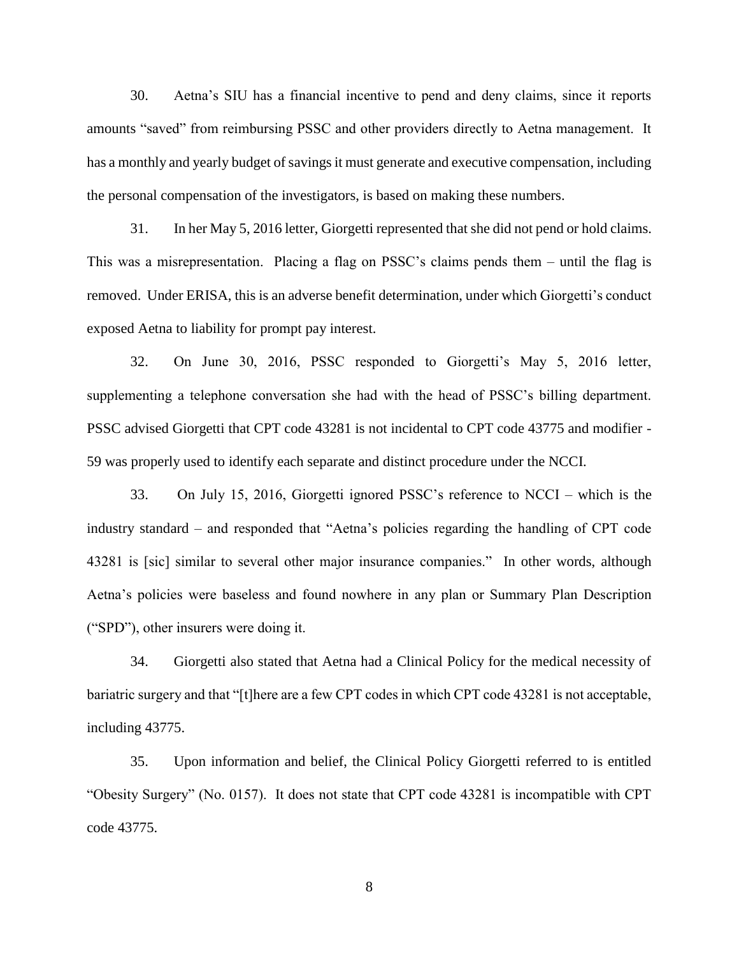30. Aetna's SIU has a financial incentive to pend and deny claims, since it reports amounts "saved" from reimbursing PSSC and other providers directly to Aetna management. It has a monthly and yearly budget of savings it must generate and executive compensation, including the personal compensation of the investigators, is based on making these numbers.

31. In her May 5, 2016 letter, Giorgetti represented that she did not pend or hold claims. This was a misrepresentation. Placing a flag on PSSC's claims pends them – until the flag is removed. Under ERISA, this is an adverse benefit determination, under which Giorgetti's conduct exposed Aetna to liability for prompt pay interest.

32. On June 30, 2016, PSSC responded to Giorgetti's May 5, 2016 letter, supplementing a telephone conversation she had with the head of PSSC's billing department. PSSC advised Giorgetti that CPT code 43281 is not incidental to CPT code 43775 and modifier - 59 was properly used to identify each separate and distinct procedure under the NCCI.

33. On July 15, 2016, Giorgetti ignored PSSC's reference to NCCI – which is the industry standard – and responded that "Aetna's policies regarding the handling of CPT code 43281 is [sic] similar to several other major insurance companies." In other words, although Aetna's policies were baseless and found nowhere in any plan or Summary Plan Description ("SPD"), other insurers were doing it.

34. Giorgetti also stated that Aetna had a Clinical Policy for the medical necessity of bariatric surgery and that "[t]here are a few CPT codes in which CPT code 43281 is not acceptable, including 43775.

35. Upon information and belief, the Clinical Policy Giorgetti referred to is entitled "Obesity Surgery" (No. 0157). It does not state that CPT code 43281 is incompatible with CPT code 43775.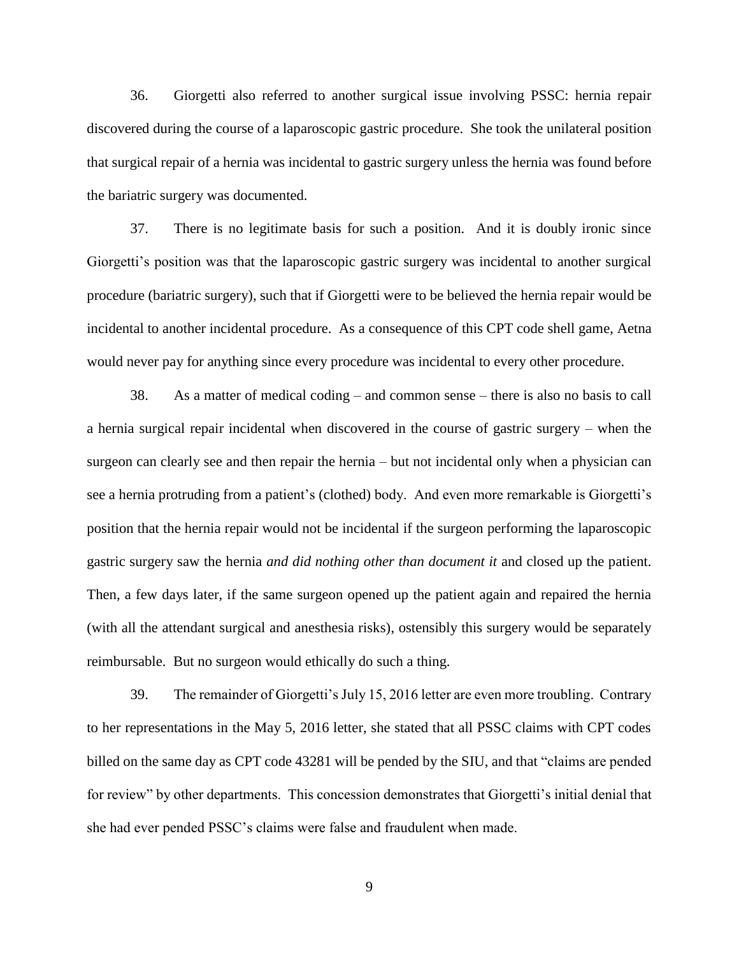36. Giorgetti also referred to another surgical issue involving PSSC: hernia repair discovered during the course of a laparoscopic gastric procedure. She took the unilateral position that surgical repair of a hernia was incidental to gastric surgery unless the hernia was found before the bariatric surgery was documented.

37. There is no legitimate basis for such a position. And it is doubly ironic since Giorgetti's position was that the laparoscopic gastric surgery was incidental to another surgical procedure (bariatric surgery), such that if Giorgetti were to be believed the hernia repair would be incidental to another incidental procedure. As a consequence of this CPT code shell game, Aetna would never pay for anything since every procedure was incidental to every other procedure.

38. As a matter of medical coding – and common sense – there is also no basis to call a hernia surgical repair incidental when discovered in the course of gastric surgery – when the surgeon can clearly see and then repair the hernia – but not incidental only when a physician can see a hernia protruding from a patient's (clothed) body. And even more remarkable is Giorgetti's position that the hernia repair would not be incidental if the surgeon performing the laparoscopic gastric surgery saw the hernia *and did nothing other than document it* and closed up the patient. Then, a few days later, if the same surgeon opened up the patient again and repaired the hernia (with all the attendant surgical and anesthesia risks), ostensibly this surgery would be separately reimbursable. But no surgeon would ethically do such a thing.

39. The remainder of Giorgetti's July 15, 2016 letter are even more troubling. Contrary to her representations in the May 5, 2016 letter, she stated that all PSSC claims with CPT codes billed on the same day as CPT code 43281 will be pended by the SIU, and that "claims are pended for review" by other departments. This concession demonstrates that Giorgetti's initial denial that she had ever pended PSSC's claims were false and fraudulent when made.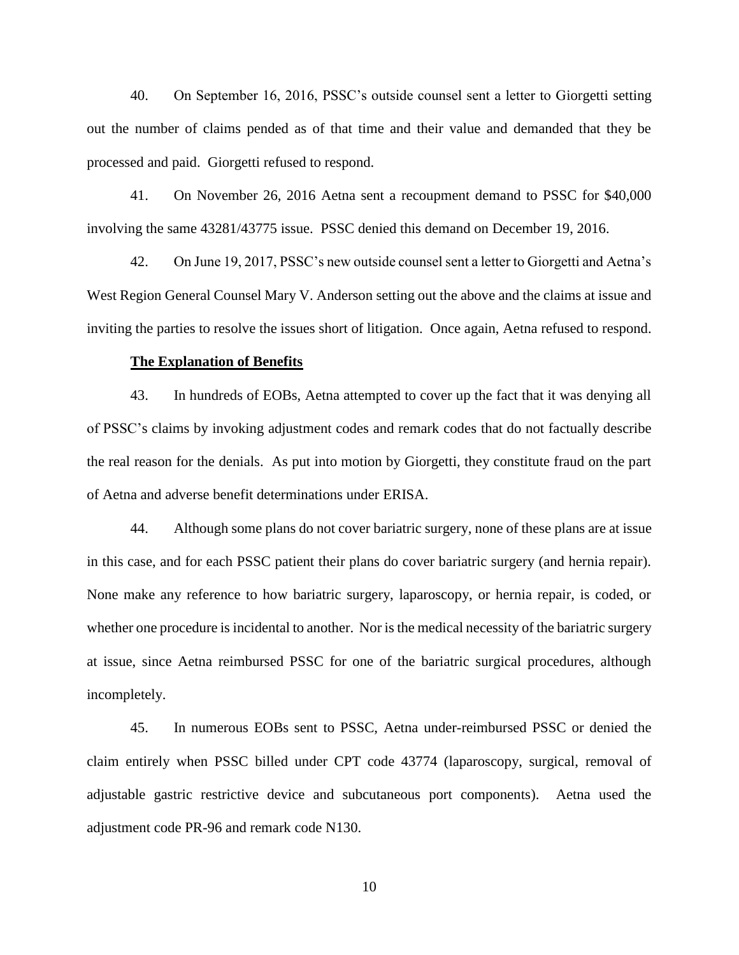40. On September 16, 2016, PSSC's outside counsel sent a letter to Giorgetti setting out the number of claims pended as of that time and their value and demanded that they be processed and paid. Giorgetti refused to respond.

41. On November 26, 2016 Aetna sent a recoupment demand to PSSC for \$40,000 involving the same 43281/43775 issue. PSSC denied this demand on December 19, 2016.

42. On June 19, 2017, PSSC's new outside counsel sent a letter to Giorgetti and Aetna's West Region General Counsel Mary V. Anderson setting out the above and the claims at issue and inviting the parties to resolve the issues short of litigation. Once again, Aetna refused to respond.

### **The Explanation of Benefits**

43. In hundreds of EOBs, Aetna attempted to cover up the fact that it was denying all of PSSC's claims by invoking adjustment codes and remark codes that do not factually describe the real reason for the denials. As put into motion by Giorgetti, they constitute fraud on the part of Aetna and adverse benefit determinations under ERISA.

44. Although some plans do not cover bariatric surgery, none of these plans are at issue in this case, and for each PSSC patient their plans do cover bariatric surgery (and hernia repair). None make any reference to how bariatric surgery, laparoscopy, or hernia repair, is coded, or whether one procedure is incidental to another. Nor is the medical necessity of the bariatric surgery at issue, since Aetna reimbursed PSSC for one of the bariatric surgical procedures, although incompletely.

45. In numerous EOBs sent to PSSC, Aetna under-reimbursed PSSC or denied the claim entirely when PSSC billed under CPT code 43774 (laparoscopy, surgical, removal of adjustable gastric restrictive device and subcutaneous port components). Aetna used the adjustment code PR-96 and remark code N130.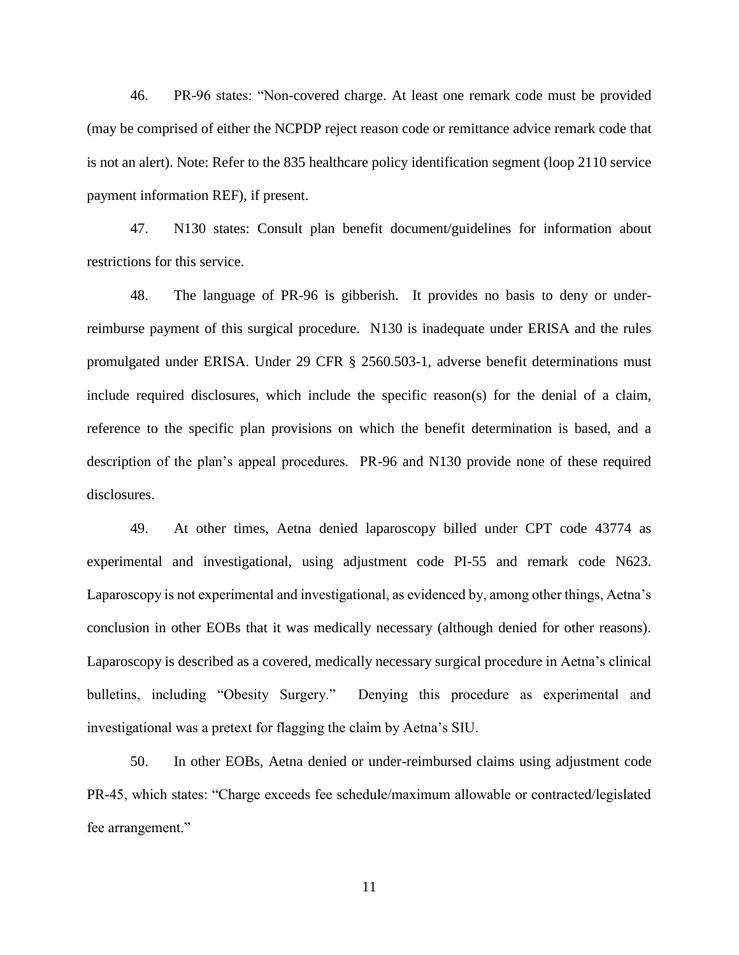46. PR-96 states: "Non-covered charge. At least one remark code must be provided (may be comprised of either the NCPDP reject reason code or remittance advice remark code that is not an alert). Note: Refer to the 835 healthcare policy identification segment (loop 2110 service payment information REF), if present.

47. N130 states: Consult plan benefit document/guidelines for information about restrictions for this service.

48. The language of PR-96 is gibberish. It provides no basis to deny or underreimburse payment of this surgical procedure. N130 is inadequate under ERISA and the rules promulgated under ERISA. Under 29 CFR § 2560.503-1, adverse benefit determinations must include required disclosures, which include the specific reason(s) for the denial of a claim, reference to the specific plan provisions on which the benefit determination is based, and a description of the plan's appeal procedures. PR-96 and N130 provide none of these required disclosures.

49. At other times, Aetna denied laparoscopy billed under CPT code 43774 as experimental and investigational, using adjustment code PI-55 and remark code N623. Laparoscopy is not experimental and investigational, as evidenced by, among other things, Aetna's conclusion in other EOBs that it was medically necessary (although denied for other reasons). Laparoscopy is described as a covered, medically necessary surgical procedure in Aetna's clinical bulletins, including "Obesity Surgery." Denying this procedure as experimental and investigational was a pretext for flagging the claim by Aetna's SIU.

50. In other EOBs, Aetna denied or under-reimbursed claims using adjustment code PR-45, which states: "Charge exceeds fee schedule/maximum allowable or contracted/legislated fee arrangement."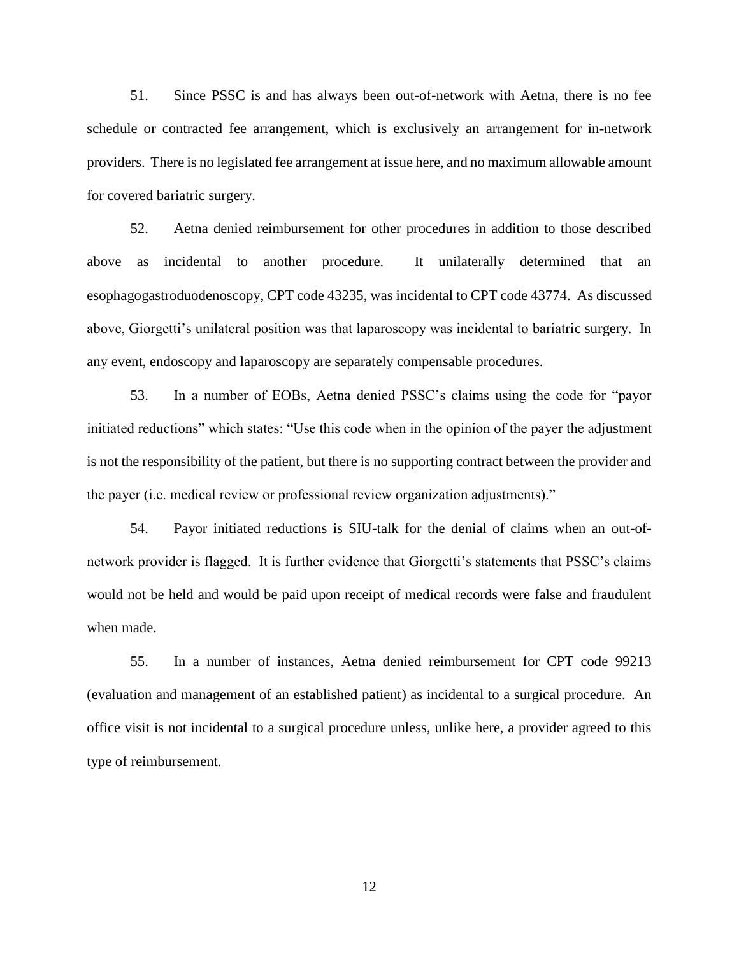51. Since PSSC is and has always been out-of-network with Aetna, there is no fee schedule or contracted fee arrangement, which is exclusively an arrangement for in-network providers. There is no legislated fee arrangement at issue here, and no maximum allowable amount for covered bariatric surgery.

52. Aetna denied reimbursement for other procedures in addition to those described above as incidental to another procedure. It unilaterally determined that an esophagogastroduodenoscopy, CPT code 43235, was incidental to CPT code 43774. As discussed above, Giorgetti's unilateral position was that laparoscopy was incidental to bariatric surgery. In any event, endoscopy and laparoscopy are separately compensable procedures.

53. In a number of EOBs, Aetna denied PSSC's claims using the code for "payor initiated reductions" which states: "Use this code when in the opinion of the payer the adjustment is not the responsibility of the patient, but there is no supporting contract between the provider and the payer (i.e. medical review or professional review organization adjustments)."

54. Payor initiated reductions is SIU-talk for the denial of claims when an out-ofnetwork provider is flagged. It is further evidence that Giorgetti's statements that PSSC's claims would not be held and would be paid upon receipt of medical records were false and fraudulent when made.

55. In a number of instances, Aetna denied reimbursement for CPT code 99213 (evaluation and management of an established patient) as incidental to a surgical procedure. An office visit is not incidental to a surgical procedure unless, unlike here, a provider agreed to this type of reimbursement.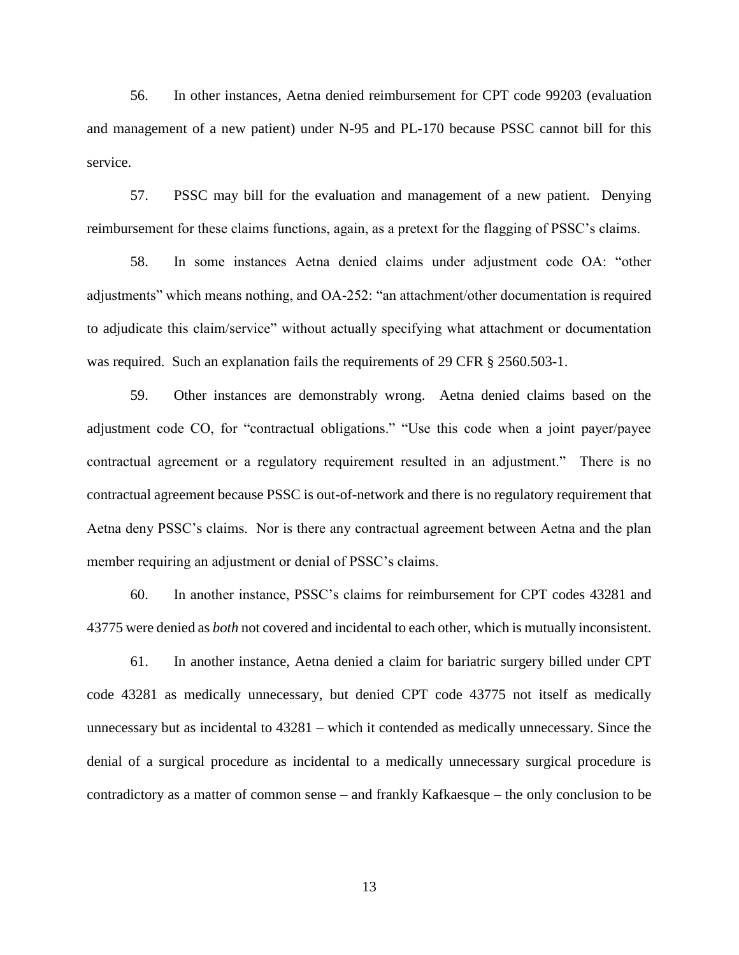56. In other instances, Aetna denied reimbursement for CPT code 99203 (evaluation and management of a new patient) under N-95 and PL-170 because PSSC cannot bill for this service.

57. PSSC may bill for the evaluation and management of a new patient. Denying reimbursement for these claims functions, again, as a pretext for the flagging of PSSC's claims.

58. In some instances Aetna denied claims under adjustment code OA: "other adjustments" which means nothing, and OA-252: "an attachment/other documentation is required to adjudicate this claim/service" without actually specifying what attachment or documentation was required. Such an explanation fails the requirements of 29 CFR § 2560.503-1.

59. Other instances are demonstrably wrong. Aetna denied claims based on the adjustment code CO, for "contractual obligations." "Use this code when a joint payer/payee contractual agreement or a regulatory requirement resulted in an adjustment." There is no contractual agreement because PSSC is out-of-network and there is no regulatory requirement that Aetna deny PSSC's claims. Nor is there any contractual agreement between Aetna and the plan member requiring an adjustment or denial of PSSC's claims.

60. In another instance, PSSC's claims for reimbursement for CPT codes 43281 and 43775 were denied as *both* not covered and incidental to each other, which is mutually inconsistent.

61. In another instance, Aetna denied a claim for bariatric surgery billed under CPT code 43281 as medically unnecessary, but denied CPT code 43775 not itself as medically unnecessary but as incidental to 43281 – which it contended as medically unnecessary. Since the denial of a surgical procedure as incidental to a medically unnecessary surgical procedure is contradictory as a matter of common sense – and frankly Kafkaesque – the only conclusion to be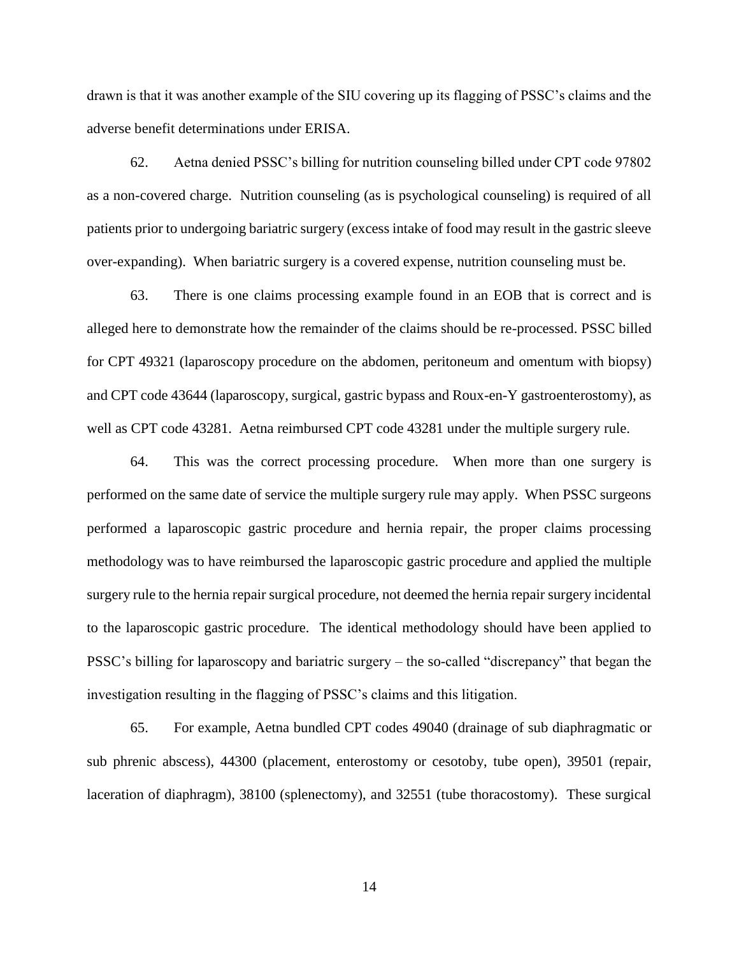drawn is that it was another example of the SIU covering up its flagging of PSSC's claims and the adverse benefit determinations under ERISA.

62. Aetna denied PSSC's billing for nutrition counseling billed under CPT code 97802 as a non-covered charge. Nutrition counseling (as is psychological counseling) is required of all patients prior to undergoing bariatric surgery (excess intake of food may result in the gastric sleeve over-expanding). When bariatric surgery is a covered expense, nutrition counseling must be.

63. There is one claims processing example found in an EOB that is correct and is alleged here to demonstrate how the remainder of the claims should be re-processed. PSSC billed for CPT 49321 (laparoscopy procedure on the abdomen, peritoneum and omentum with biopsy) and CPT code 43644 (laparoscopy, surgical, gastric bypass and Roux-en-Y gastroenterostomy), as well as CPT code 43281. Aetna reimbursed CPT code 43281 under the multiple surgery rule.

64. This was the correct processing procedure. When more than one surgery is performed on the same date of service the multiple surgery rule may apply. When PSSC surgeons performed a laparoscopic gastric procedure and hernia repair, the proper claims processing methodology was to have reimbursed the laparoscopic gastric procedure and applied the multiple surgery rule to the hernia repair surgical procedure, not deemed the hernia repair surgery incidental to the laparoscopic gastric procedure. The identical methodology should have been applied to PSSC's billing for laparoscopy and bariatric surgery – the so-called "discrepancy" that began the investigation resulting in the flagging of PSSC's claims and this litigation.

65. For example, Aetna bundled CPT codes 49040 (drainage of sub diaphragmatic or sub phrenic abscess), 44300 (placement, enterostomy or cesotoby, tube open), 39501 (repair, laceration of diaphragm), 38100 (splenectomy), and 32551 (tube thoracostomy). These surgical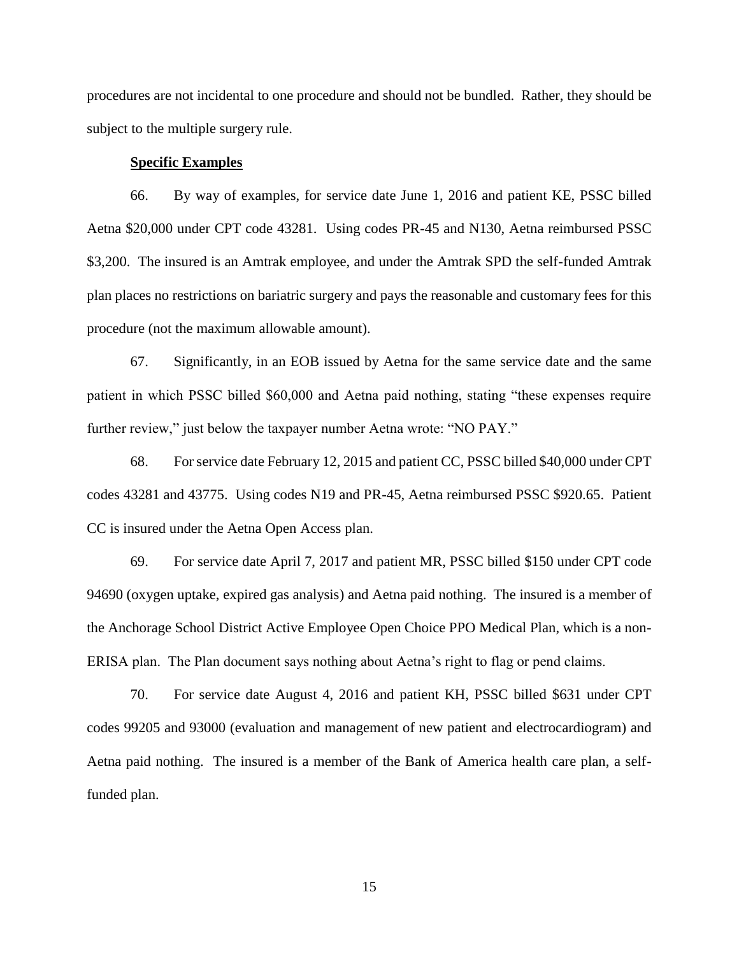procedures are not incidental to one procedure and should not be bundled. Rather, they should be subject to the multiple surgery rule.

### **Specific Examples**

66. By way of examples, for service date June 1, 2016 and patient KE, PSSC billed Aetna \$20,000 under CPT code 43281. Using codes PR-45 and N130, Aetna reimbursed PSSC \$3,200. The insured is an Amtrak employee, and under the Amtrak SPD the self-funded Amtrak plan places no restrictions on bariatric surgery and pays the reasonable and customary fees for this procedure (not the maximum allowable amount).

67. Significantly, in an EOB issued by Aetna for the same service date and the same patient in which PSSC billed \$60,000 and Aetna paid nothing, stating "these expenses require further review," just below the taxpayer number Aetna wrote: "NO PAY."

68. For service date February 12, 2015 and patient CC, PSSC billed \$40,000 under CPT codes 43281 and 43775. Using codes N19 and PR-45, Aetna reimbursed PSSC \$920.65. Patient CC is insured under the Aetna Open Access plan.

69. For service date April 7, 2017 and patient MR, PSSC billed \$150 under CPT code 94690 (oxygen uptake, expired gas analysis) and Aetna paid nothing. The insured is a member of the Anchorage School District Active Employee Open Choice PPO Medical Plan, which is a non-ERISA plan. The Plan document says nothing about Aetna's right to flag or pend claims.

70. For service date August 4, 2016 and patient KH, PSSC billed \$631 under CPT codes 99205 and 93000 (evaluation and management of new patient and electrocardiogram) and Aetna paid nothing. The insured is a member of the Bank of America health care plan, a selffunded plan.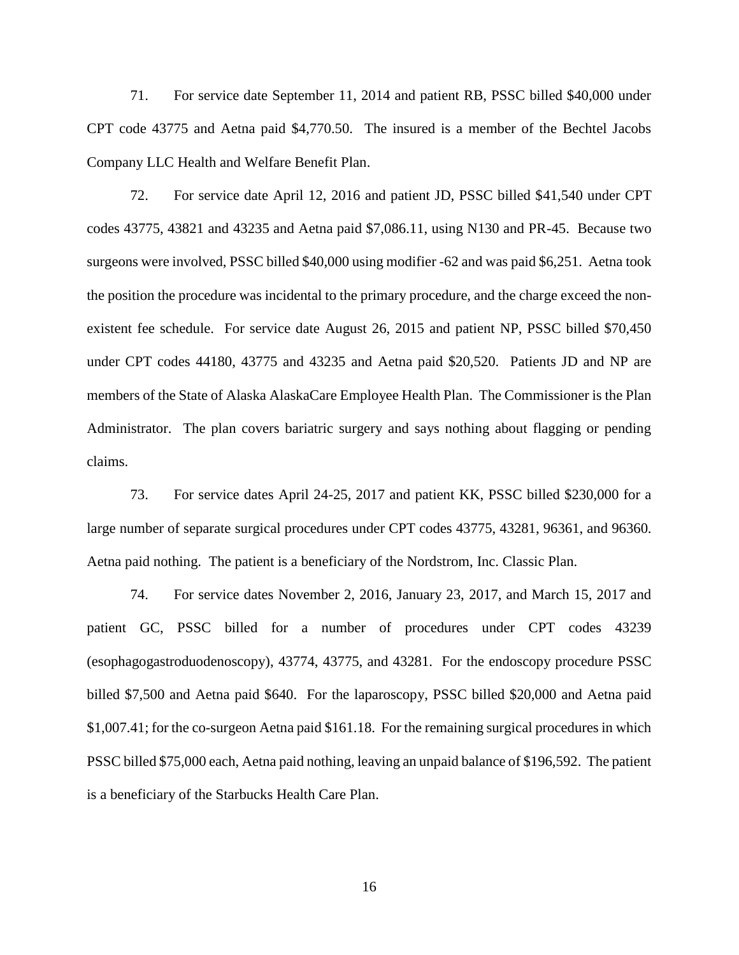71. For service date September 11, 2014 and patient RB, PSSC billed \$40,000 under CPT code 43775 and Aetna paid \$4,770.50. The insured is a member of the Bechtel Jacobs Company LLC Health and Welfare Benefit Plan.

72. For service date April 12, 2016 and patient JD, PSSC billed \$41,540 under CPT codes 43775, 43821 and 43235 and Aetna paid \$7,086.11, using N130 and PR-45. Because two surgeons were involved, PSSC billed \$40,000 using modifier -62 and was paid \$6,251. Aetna took the position the procedure was incidental to the primary procedure, and the charge exceed the nonexistent fee schedule. For service date August 26, 2015 and patient NP, PSSC billed \$70,450 under CPT codes 44180, 43775 and 43235 and Aetna paid \$20,520. Patients JD and NP are members of the State of Alaska AlaskaCare Employee Health Plan. The Commissioner is the Plan Administrator. The plan covers bariatric surgery and says nothing about flagging or pending claims.

73. For service dates April 24-25, 2017 and patient KK, PSSC billed \$230,000 for a large number of separate surgical procedures under CPT codes 43775, 43281, 96361, and 96360. Aetna paid nothing. The patient is a beneficiary of the Nordstrom, Inc. Classic Plan.

74. For service dates November 2, 2016, January 23, 2017, and March 15, 2017 and patient GC, PSSC billed for a number of procedures under CPT codes 43239 (esophagogastroduodenoscopy), 43774, 43775, and 43281. For the endoscopy procedure PSSC billed \$7,500 and Aetna paid \$640. For the laparoscopy, PSSC billed \$20,000 and Aetna paid \$1,007.41; for the co-surgeon Aetna paid \$161.18. For the remaining surgical procedures in which PSSC billed \$75,000 each, Aetna paid nothing, leaving an unpaid balance of \$196,592. The patient is a beneficiary of the Starbucks Health Care Plan.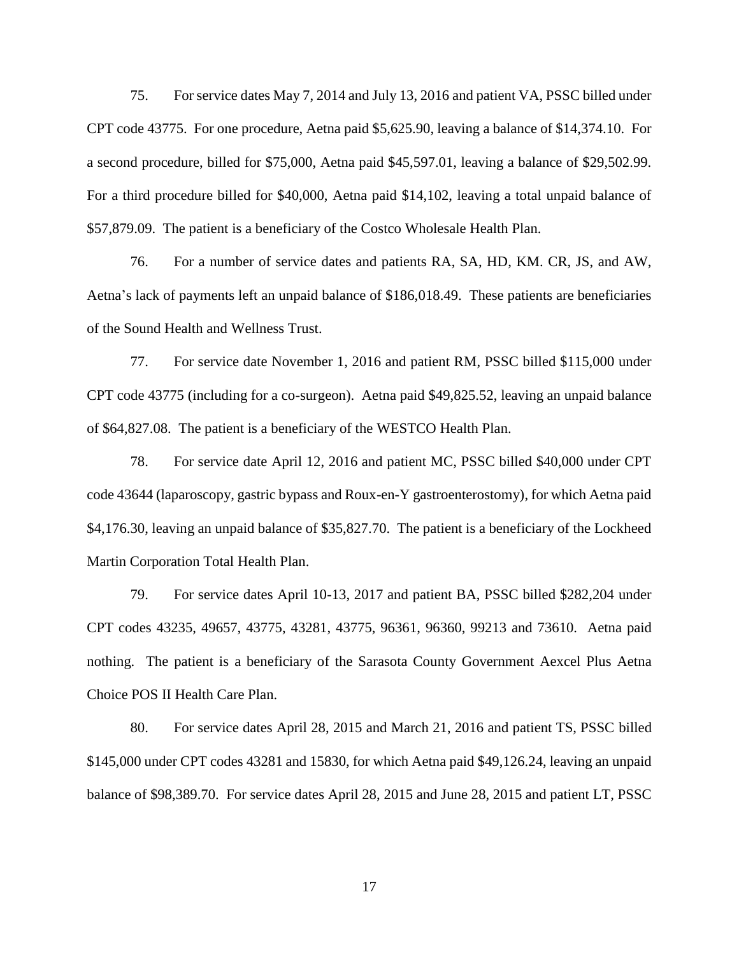75. For service dates May 7, 2014 and July 13, 2016 and patient VA, PSSC billed under CPT code 43775. For one procedure, Aetna paid \$5,625.90, leaving a balance of \$14,374.10. For a second procedure, billed for \$75,000, Aetna paid \$45,597.01, leaving a balance of \$29,502.99. For a third procedure billed for \$40,000, Aetna paid \$14,102, leaving a total unpaid balance of \$57,879.09. The patient is a beneficiary of the Costco Wholesale Health Plan.

76. For a number of service dates and patients RA, SA, HD, KM. CR, JS, and AW, Aetna's lack of payments left an unpaid balance of \$186,018.49. These patients are beneficiaries of the Sound Health and Wellness Trust.

77. For service date November 1, 2016 and patient RM, PSSC billed \$115,000 under CPT code 43775 (including for a co-surgeon). Aetna paid \$49,825.52, leaving an unpaid balance of \$64,827.08. The patient is a beneficiary of the WESTCO Health Plan.

78. For service date April 12, 2016 and patient MC, PSSC billed \$40,000 under CPT code 43644 (laparoscopy, gastric bypass and Roux-en-Y gastroenterostomy), for which Aetna paid \$4,176.30, leaving an unpaid balance of \$35,827.70. The patient is a beneficiary of the Lockheed Martin Corporation Total Health Plan.

79. For service dates April 10-13, 2017 and patient BA, PSSC billed \$282,204 under CPT codes 43235, 49657, 43775, 43281, 43775, 96361, 96360, 99213 and 73610. Aetna paid nothing. The patient is a beneficiary of the Sarasota County Government Aexcel Plus Aetna Choice POS II Health Care Plan.

80. For service dates April 28, 2015 and March 21, 2016 and patient TS, PSSC billed \$145,000 under CPT codes 43281 and 15830, for which Aetna paid \$49,126.24, leaving an unpaid balance of \$98,389.70. For service dates April 28, 2015 and June 28, 2015 and patient LT, PSSC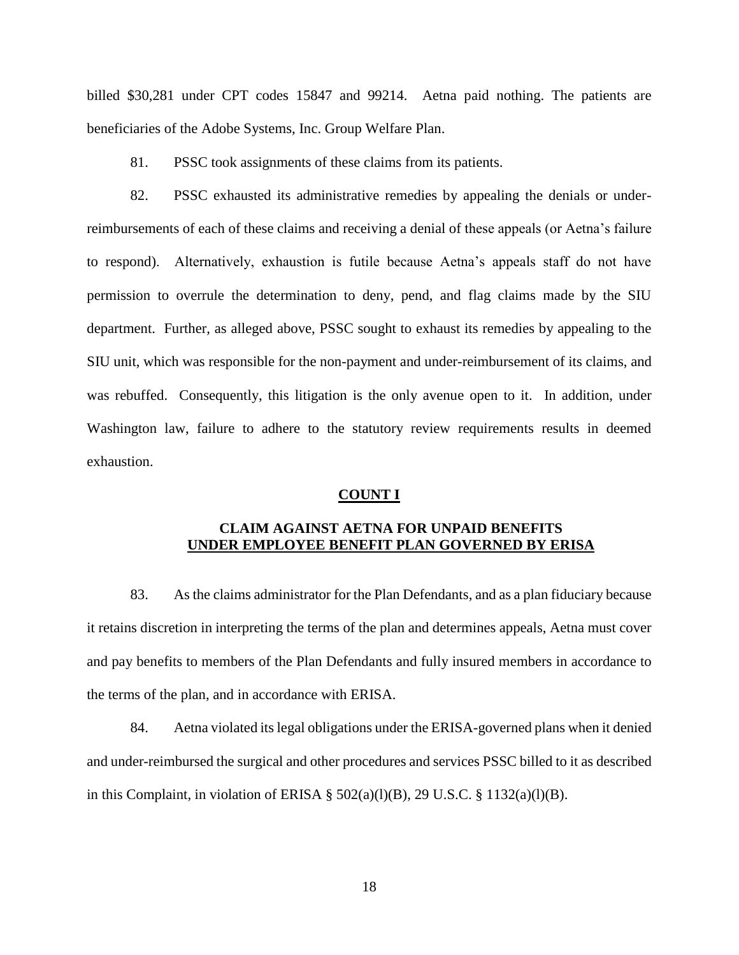billed \$30,281 under CPT codes 15847 and 99214. Aetna paid nothing. The patients are beneficiaries of the Adobe Systems, Inc. Group Welfare Plan.

81. PSSC took assignments of these claims from its patients.

82. PSSC exhausted its administrative remedies by appealing the denials or underreimbursements of each of these claims and receiving a denial of these appeals (or Aetna's failure to respond). Alternatively, exhaustion is futile because Aetna's appeals staff do not have permission to overrule the determination to deny, pend, and flag claims made by the SIU department. Further, as alleged above, PSSC sought to exhaust its remedies by appealing to the SIU unit, which was responsible for the non-payment and under-reimbursement of its claims, and was rebuffed. Consequently, this litigation is the only avenue open to it. In addition, under Washington law, failure to adhere to the statutory review requirements results in deemed exhaustion.

#### **COUNT I**

## **CLAIM AGAINST AETNA FOR UNPAID BENEFITS UNDER EMPLOYEE BENEFIT PLAN GOVERNED BY ERISA**

83. As the claims administrator for the Plan Defendants, and as a plan fiduciary because it retains discretion in interpreting the terms of the plan and determines appeals, Aetna must cover and pay benefits to members of the Plan Defendants and fully insured members in accordance to the terms of the plan, and in accordance with ERISA.

84. Aetna violated its legal obligations under the ERISA-governed plans when it denied and under-reimbursed the surgical and other procedures and services PSSC billed to it as described in this Complaint, in violation of ERISA  $\S$  502(a)(l)(B), 29 U.S.C.  $\S$  1132(a)(l)(B).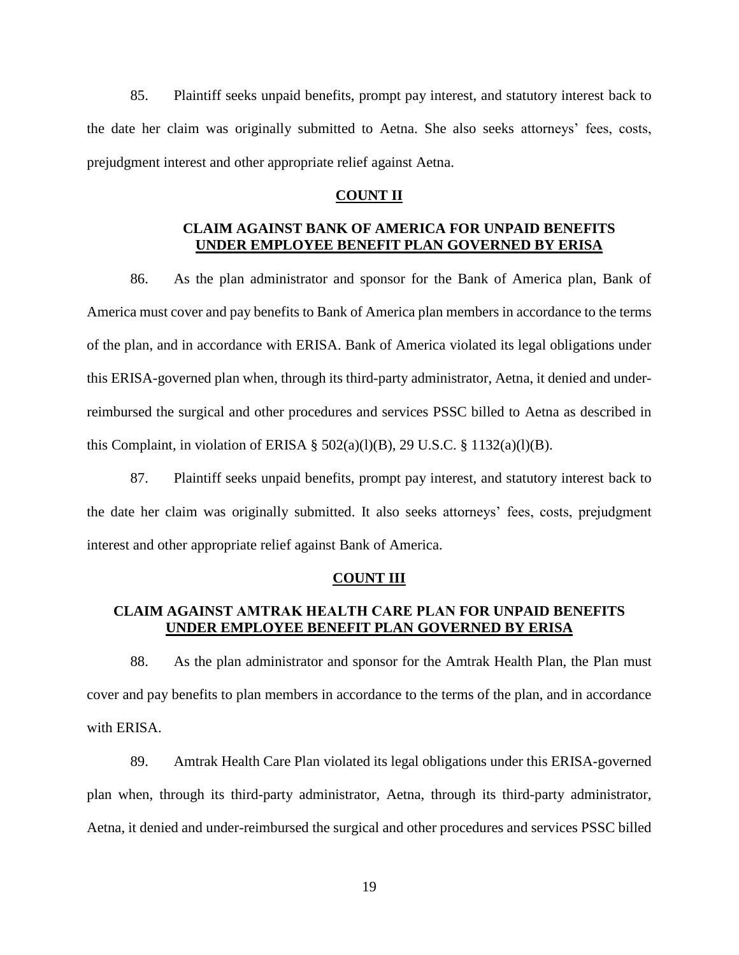85. Plaintiff seeks unpaid benefits, prompt pay interest, and statutory interest back to the date her claim was originally submitted to Aetna. She also seeks attorneys' fees, costs, prejudgment interest and other appropriate relief against Aetna.

### **COUNT II**

# **CLAIM AGAINST BANK OF AMERICA FOR UNPAID BENEFITS UNDER EMPLOYEE BENEFIT PLAN GOVERNED BY ERISA**

86. As the plan administrator and sponsor for the Bank of America plan, Bank of America must cover and pay benefits to Bank of America plan members in accordance to the terms of the plan, and in accordance with ERISA. Bank of America violated its legal obligations under this ERISA-governed plan when, through its third-party administrator, Aetna, it denied and underreimbursed the surgical and other procedures and services PSSC billed to Aetna as described in this Complaint, in violation of ERISA §  $502(a)(l)(B)$ , 29 U.S.C. §  $1132(a)(l)(B)$ .

87. Plaintiff seeks unpaid benefits, prompt pay interest, and statutory interest back to the date her claim was originally submitted. It also seeks attorneys' fees, costs, prejudgment interest and other appropriate relief against Bank of America.

#### **COUNT III**

# **CLAIM AGAINST AMTRAK HEALTH CARE PLAN FOR UNPAID BENEFITS UNDER EMPLOYEE BENEFIT PLAN GOVERNED BY ERISA**

88. As the plan administrator and sponsor for the Amtrak Health Plan, the Plan must cover and pay benefits to plan members in accordance to the terms of the plan, and in accordance with ERISA.

89. Amtrak Health Care Plan violated its legal obligations under this ERISA-governed plan when, through its third-party administrator, Aetna, through its third-party administrator, Aetna, it denied and under-reimbursed the surgical and other procedures and services PSSC billed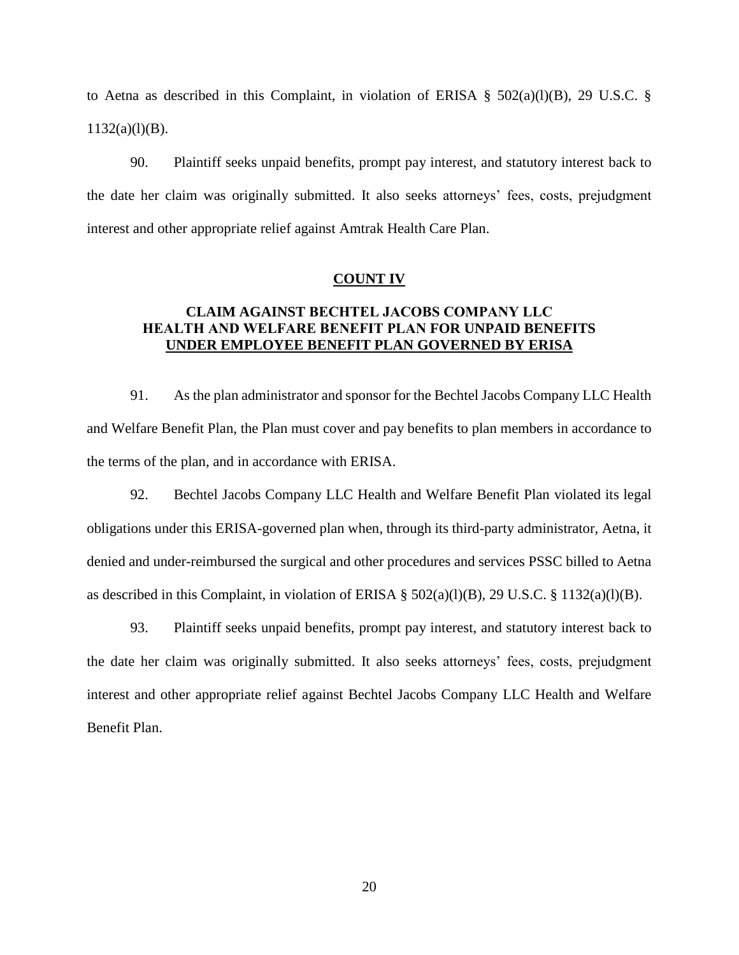to Aetna as described in this Complaint, in violation of ERISA  $\S$  502(a)(l)(B), 29 U.S.C.  $\S$  $1132(a)(l)(B)$ .

90. Plaintiff seeks unpaid benefits, prompt pay interest, and statutory interest back to the date her claim was originally submitted. It also seeks attorneys' fees, costs, prejudgment interest and other appropriate relief against Amtrak Health Care Plan.

### **COUNT IV**

# **CLAIM AGAINST BECHTEL JACOBS COMPANY LLC HEALTH AND WELFARE BENEFIT PLAN FOR UNPAID BENEFITS UNDER EMPLOYEE BENEFIT PLAN GOVERNED BY ERISA**

91. As the plan administrator and sponsor for the Bechtel Jacobs Company LLC Health and Welfare Benefit Plan, the Plan must cover and pay benefits to plan members in accordance to the terms of the plan, and in accordance with ERISA.

92. Bechtel Jacobs Company LLC Health and Welfare Benefit Plan violated its legal obligations under this ERISA-governed plan when, through its third-party administrator, Aetna, it denied and under-reimbursed the surgical and other procedures and services PSSC billed to Aetna as described in this Complaint, in violation of ERISA § 502(a)(l)(B), 29 U.S.C. § 1132(a)(l)(B).

93. Plaintiff seeks unpaid benefits, prompt pay interest, and statutory interest back to the date her claim was originally submitted. It also seeks attorneys' fees, costs, prejudgment interest and other appropriate relief against Bechtel Jacobs Company LLC Health and Welfare Benefit Plan.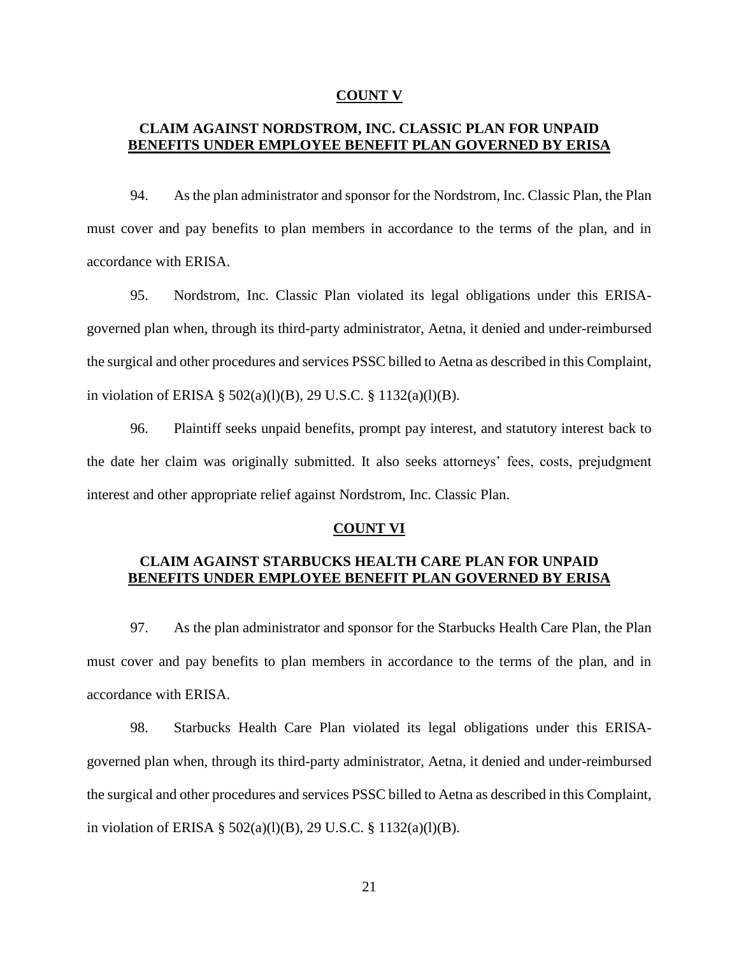### **COUNT V**

## **CLAIM AGAINST NORDSTROM, INC. CLASSIC PLAN FOR UNPAID BENEFITS UNDER EMPLOYEE BENEFIT PLAN GOVERNED BY ERISA**

94. As the plan administrator and sponsor for the Nordstrom, Inc. Classic Plan, the Plan must cover and pay benefits to plan members in accordance to the terms of the plan, and in accordance with ERISA.

95. Nordstrom, Inc. Classic Plan violated its legal obligations under this ERISAgoverned plan when, through its third-party administrator, Aetna, it denied and under-reimbursed the surgical and other procedures and services PSSC billed to Aetna as described in this Complaint, in violation of ERISA § 502(a)(l)(B), 29 U.S.C. § 1132(a)(l)(B).

96. Plaintiff seeks unpaid benefits, prompt pay interest, and statutory interest back to the date her claim was originally submitted. It also seeks attorneys' fees, costs, prejudgment interest and other appropriate relief against Nordstrom, Inc. Classic Plan.

### **COUNT VI**

## **CLAIM AGAINST STARBUCKS HEALTH CARE PLAN FOR UNPAID BENEFITS UNDER EMPLOYEE BENEFIT PLAN GOVERNED BY ERISA**

97. As the plan administrator and sponsor for the Starbucks Health Care Plan, the Plan must cover and pay benefits to plan members in accordance to the terms of the plan, and in accordance with ERISA.

98. Starbucks Health Care Plan violated its legal obligations under this ERISAgoverned plan when, through its third-party administrator, Aetna, it denied and under-reimbursed the surgical and other procedures and services PSSC billed to Aetna as described in this Complaint, in violation of ERISA § 502(a)(l)(B), 29 U.S.C. § 1132(a)(l)(B).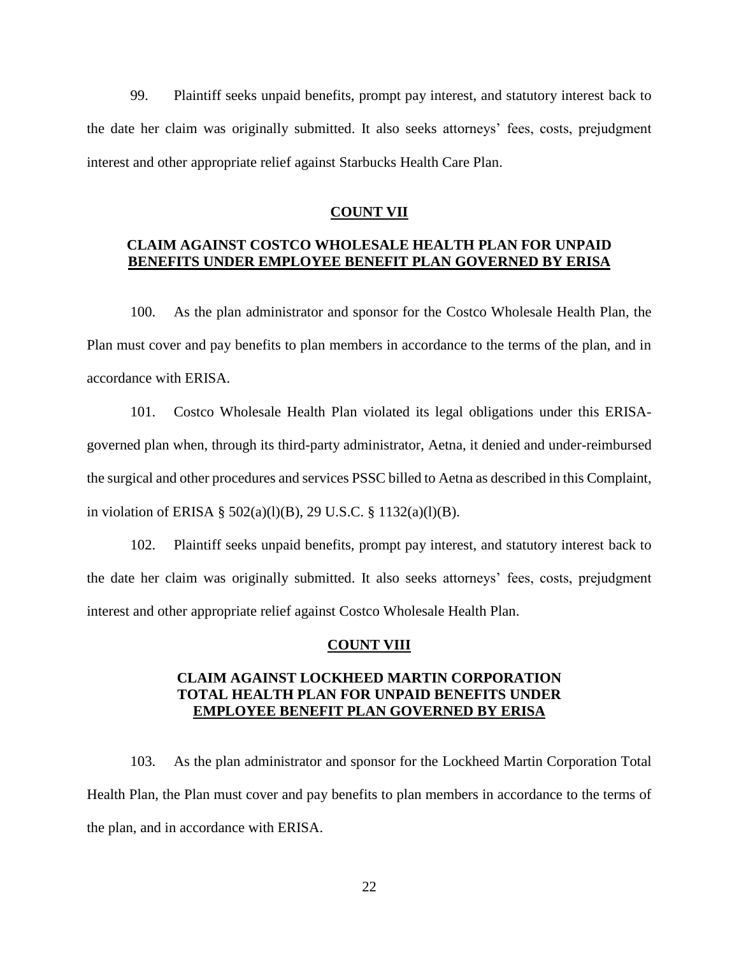99. Plaintiff seeks unpaid benefits, prompt pay interest, and statutory interest back to the date her claim was originally submitted. It also seeks attorneys' fees, costs, prejudgment interest and other appropriate relief against Starbucks Health Care Plan.

### **COUNT VII**

## **CLAIM AGAINST COSTCO WHOLESALE HEALTH PLAN FOR UNPAID BENEFITS UNDER EMPLOYEE BENEFIT PLAN GOVERNED BY ERISA**

100. As the plan administrator and sponsor for the Costco Wholesale Health Plan, the Plan must cover and pay benefits to plan members in accordance to the terms of the plan, and in accordance with ERISA.

101. Costco Wholesale Health Plan violated its legal obligations under this ERISAgoverned plan when, through its third-party administrator, Aetna, it denied and under-reimbursed the surgical and other procedures and services PSSC billed to Aetna as described in this Complaint, in violation of ERISA § 502(a)(l)(B), 29 U.S.C. § 1132(a)(l)(B).

102. Plaintiff seeks unpaid benefits, prompt pay interest, and statutory interest back to the date her claim was originally submitted. It also seeks attorneys' fees, costs, prejudgment interest and other appropriate relief against Costco Wholesale Health Plan.

#### **COUNT VIII**

## **CLAIM AGAINST LOCKHEED MARTIN CORPORATION TOTAL HEALTH PLAN FOR UNPAID BENEFITS UNDER EMPLOYEE BENEFIT PLAN GOVERNED BY ERISA**

103. As the plan administrator and sponsor for the Lockheed Martin Corporation Total Health Plan, the Plan must cover and pay benefits to plan members in accordance to the terms of the plan, and in accordance with ERISA.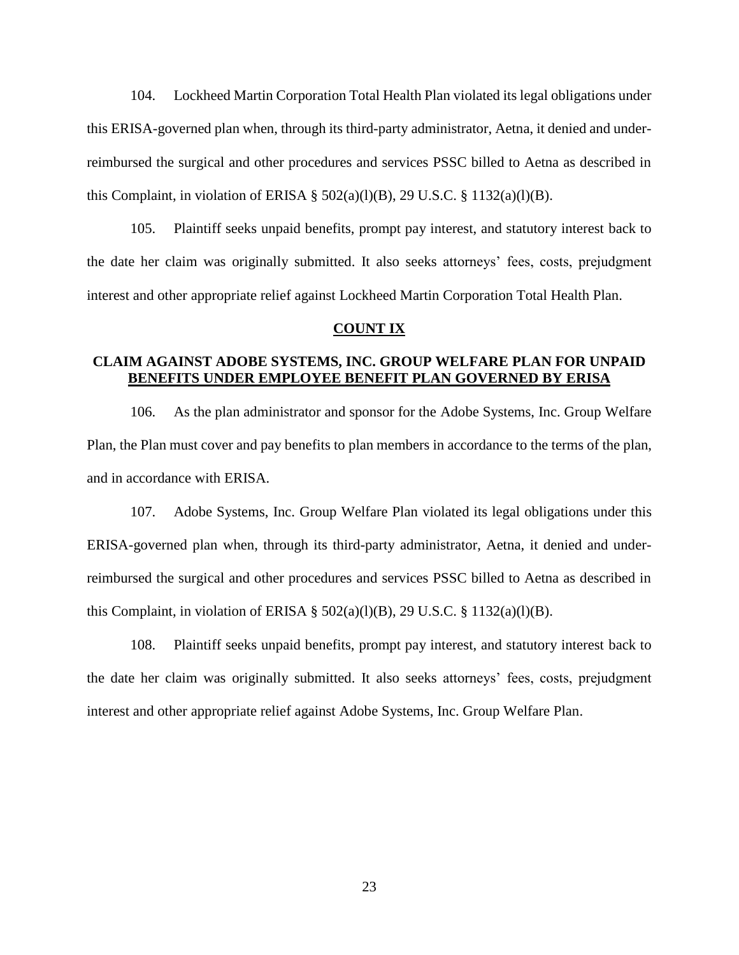104. Lockheed Martin Corporation Total Health Plan violated its legal obligations under this ERISA-governed plan when, through its third-party administrator, Aetna, it denied and underreimbursed the surgical and other procedures and services PSSC billed to Aetna as described in this Complaint, in violation of ERISA  $\S$  502(a)(l)(B), 29 U.S.C.  $\S$  1132(a)(l)(B).

105. Plaintiff seeks unpaid benefits, prompt pay interest, and statutory interest back to the date her claim was originally submitted. It also seeks attorneys' fees, costs, prejudgment interest and other appropriate relief against Lockheed Martin Corporation Total Health Plan.

### **COUNT IX**

# **CLAIM AGAINST ADOBE SYSTEMS, INC. GROUP WELFARE PLAN FOR UNPAID BENEFITS UNDER EMPLOYEE BENEFIT PLAN GOVERNED BY ERISA**

106. As the plan administrator and sponsor for the Adobe Systems, Inc. Group Welfare Plan, the Plan must cover and pay benefits to plan members in accordance to the terms of the plan, and in accordance with ERISA.

107. Adobe Systems, Inc. Group Welfare Plan violated its legal obligations under this ERISA-governed plan when, through its third-party administrator, Aetna, it denied and underreimbursed the surgical and other procedures and services PSSC billed to Aetna as described in this Complaint, in violation of ERISA  $\S$  502(a)(l)(B), 29 U.S.C.  $\S$  1132(a)(l)(B).

108. Plaintiff seeks unpaid benefits, prompt pay interest, and statutory interest back to the date her claim was originally submitted. It also seeks attorneys' fees, costs, prejudgment interest and other appropriate relief against Adobe Systems, Inc. Group Welfare Plan.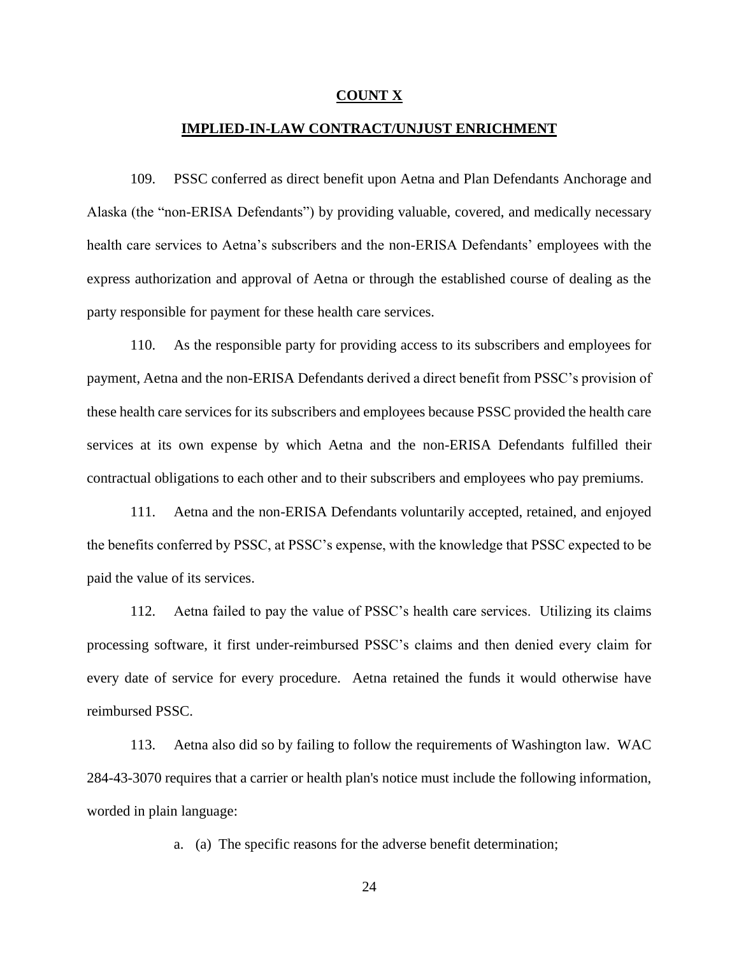#### **COUNT X**

## **IMPLIED-IN-LAW CONTRACT/UNJUST ENRICHMENT**

109. PSSC conferred as direct benefit upon Aetna and Plan Defendants Anchorage and Alaska (the "non-ERISA Defendants") by providing valuable, covered, and medically necessary health care services to Aetna's subscribers and the non-ERISA Defendants' employees with the express authorization and approval of Aetna or through the established course of dealing as the party responsible for payment for these health care services.

110. As the responsible party for providing access to its subscribers and employees for payment, Aetna and the non-ERISA Defendants derived a direct benefit from PSSC's provision of these health care services for its subscribers and employees because PSSC provided the health care services at its own expense by which Aetna and the non-ERISA Defendants fulfilled their contractual obligations to each other and to their subscribers and employees who pay premiums.

111. Aetna and the non-ERISA Defendants voluntarily accepted, retained, and enjoyed the benefits conferred by PSSC, at PSSC's expense, with the knowledge that PSSC expected to be paid the value of its services.

112. Aetna failed to pay the value of PSSC's health care services. Utilizing its claims processing software, it first under-reimbursed PSSC's claims and then denied every claim for every date of service for every procedure. Aetna retained the funds it would otherwise have reimbursed PSSC.

113. Aetna also did so by failing to follow the requirements of Washington law. WAC 284-43-3070 requires that a carrier or health plan's notice must include the following information, worded in plain language:

a. (a) The specific reasons for the adverse benefit determination;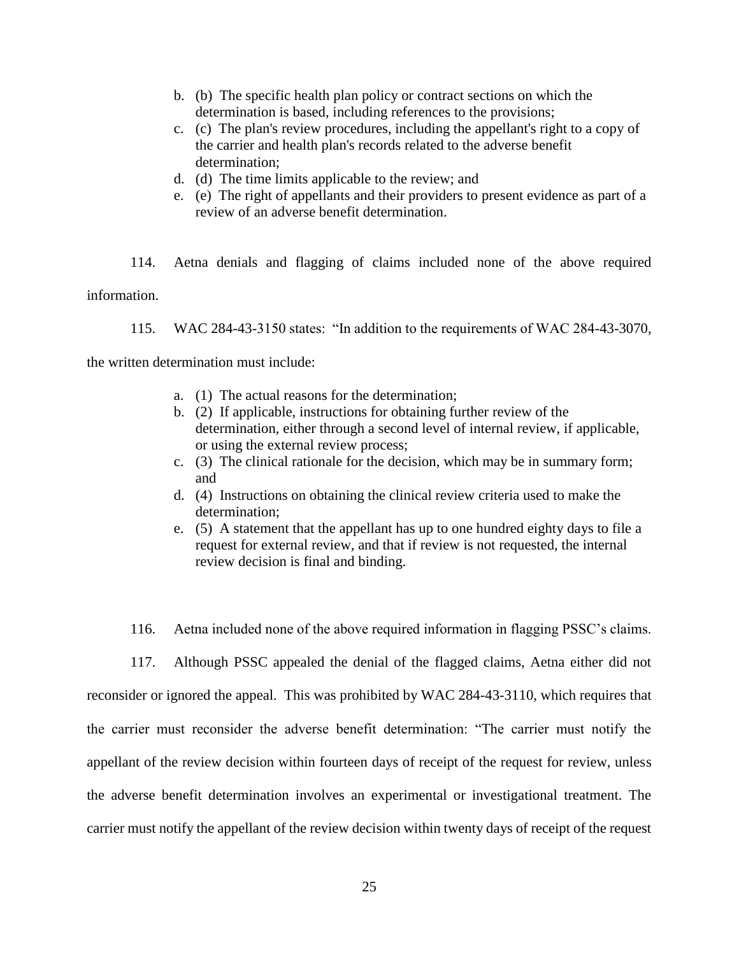- b. (b) The specific health plan policy or contract sections on which the determination is based, including references to the provisions;
- c. (c) The plan's review procedures, including the appellant's right to a copy of the carrier and health plan's records related to the adverse benefit determination;
- d. (d) The time limits applicable to the review; and
- e. (e) The right of appellants and their providers to present evidence as part of a review of an adverse benefit determination.

114. Aetna denials and flagging of claims included none of the above required information.

115. WAC 284-43-3150 states: "In addition to the requirements of WAC 284-43-3070,

the written determination must include:

- a. (1) The actual reasons for the determination;
- b. (2) If applicable, instructions for obtaining further review of the determination, either through a second level of internal review, if applicable, or using the external review process;
- c. (3) The clinical rationale for the decision, which may be in summary form; and
- d. (4) Instructions on obtaining the clinical review criteria used to make the determination;
- e. (5) A statement that the appellant has up to one hundred eighty days to file a request for external review, and that if review is not requested, the internal review decision is final and binding.
- 116. Aetna included none of the above required information in flagging PSSC's claims.
- 117. Although PSSC appealed the denial of the flagged claims, Aetna either did not

reconsider or ignored the appeal. This was prohibited by WAC 284-43-3110, which requires that the carrier must reconsider the adverse benefit determination: "The carrier must notify the appellant of the review decision within fourteen days of receipt of the request for review, unless the adverse benefit determination involves an experimental or investigational treatment. The carrier must notify the appellant of the review decision within twenty days of receipt of the request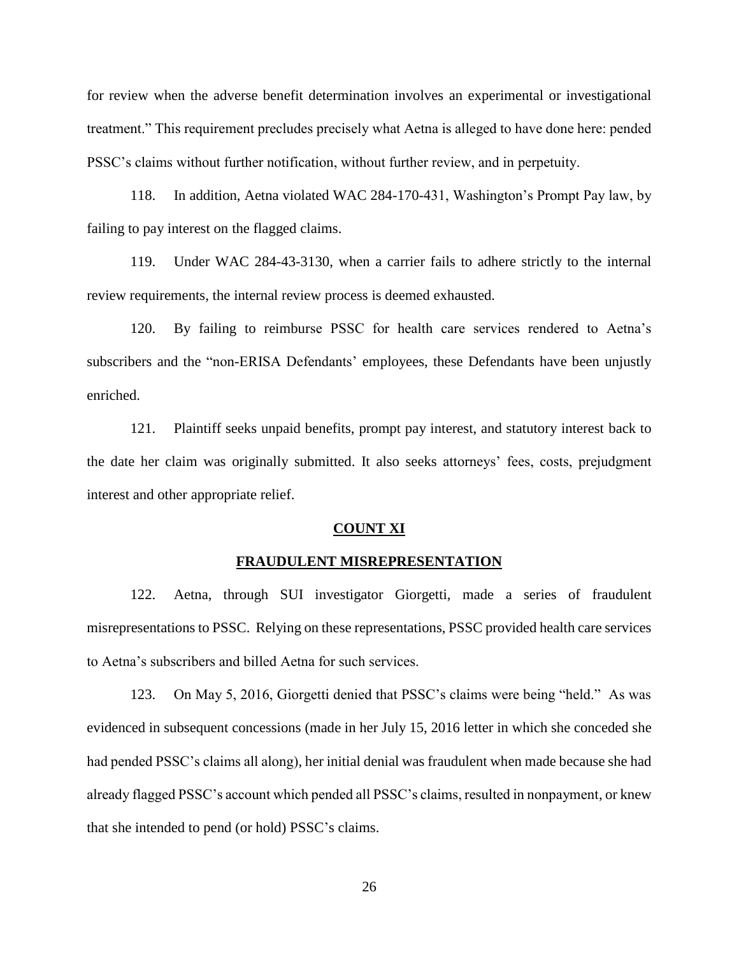for review when the adverse benefit determination involves an experimental or investigational treatment." This requirement precludes precisely what Aetna is alleged to have done here: pended PSSC's claims without further notification, without further review, and in perpetuity.

118. In addition, Aetna violated WAC 284-170-431, Washington's Prompt Pay law, by failing to pay interest on the flagged claims.

119. Under WAC 284-43-3130, when a carrier fails to adhere strictly to the internal review requirements, the internal review process is deemed exhausted.

120. By failing to reimburse PSSC for health care services rendered to Aetna's subscribers and the "non-ERISA Defendants' employees, these Defendants have been unjustly enriched.

121. Plaintiff seeks unpaid benefits, prompt pay interest, and statutory interest back to the date her claim was originally submitted. It also seeks attorneys' fees, costs, prejudgment interest and other appropriate relief.

### **COUNT XI**

### **FRAUDULENT MISREPRESENTATION**

122. Aetna, through SUI investigator Giorgetti, made a series of fraudulent misrepresentations to PSSC. Relying on these representations, PSSC provided health care services to Aetna's subscribers and billed Aetna for such services.

123. On May 5, 2016, Giorgetti denied that PSSC's claims were being "held." As was evidenced in subsequent concessions (made in her July 15, 2016 letter in which she conceded she had pended PSSC's claims all along), her initial denial was fraudulent when made because she had already flagged PSSC's account which pended all PSSC's claims, resulted in nonpayment, or knew that she intended to pend (or hold) PSSC's claims.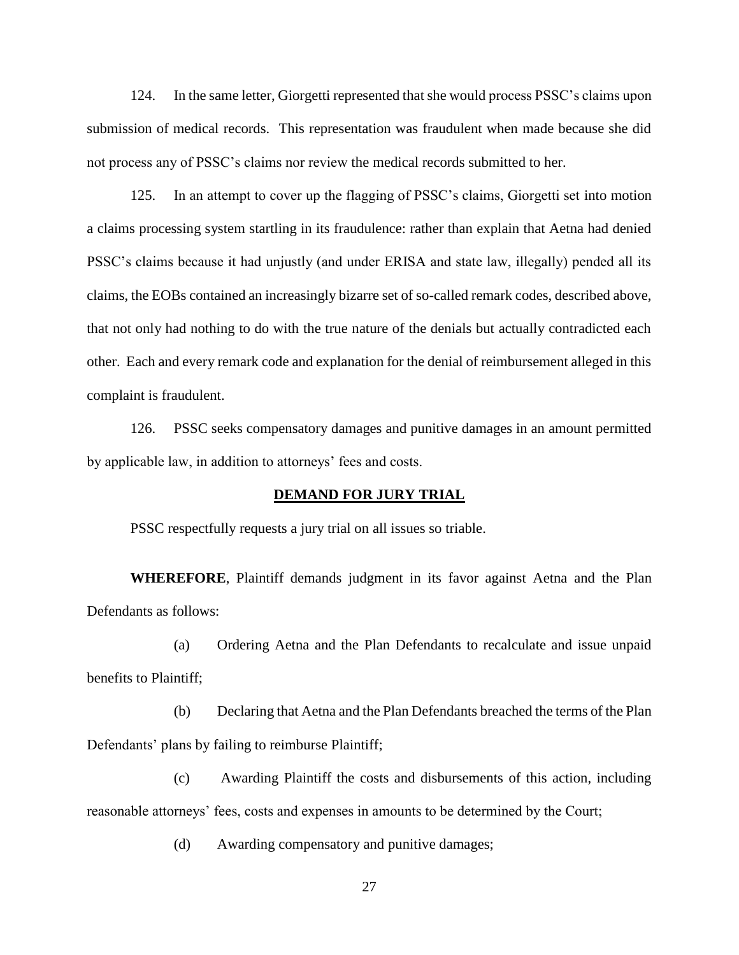124. In the same letter, Giorgetti represented that she would process PSSC's claims upon submission of medical records. This representation was fraudulent when made because she did not process any of PSSC's claims nor review the medical records submitted to her.

125. In an attempt to cover up the flagging of PSSC's claims, Giorgetti set into motion a claims processing system startling in its fraudulence: rather than explain that Aetna had denied PSSC's claims because it had unjustly (and under ERISA and state law, illegally) pended all its claims, the EOBs contained an increasingly bizarre set of so-called remark codes, described above, that not only had nothing to do with the true nature of the denials but actually contradicted each other. Each and every remark code and explanation for the denial of reimbursement alleged in this complaint is fraudulent.

126. PSSC seeks compensatory damages and punitive damages in an amount permitted by applicable law, in addition to attorneys' fees and costs.

### **DEMAND FOR JURY TRIAL**

PSSC respectfully requests a jury trial on all issues so triable.

**WHEREFORE**, Plaintiff demands judgment in its favor against Aetna and the Plan Defendants as follows:

(a) Ordering Aetna and the Plan Defendants to recalculate and issue unpaid benefits to Plaintiff;

(b) Declaring that Aetna and the Plan Defendants breached the terms of the Plan Defendants' plans by failing to reimburse Plaintiff;

(c) Awarding Plaintiff the costs and disbursements of this action, including reasonable attorneys' fees, costs and expenses in amounts to be determined by the Court;

(d) Awarding compensatory and punitive damages;